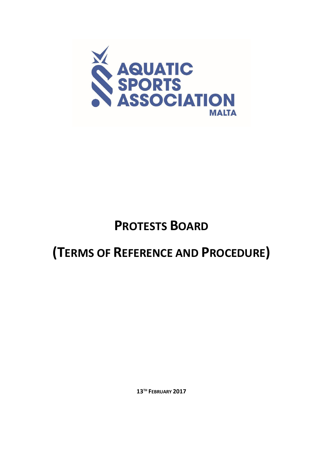

# **PROTESTS BOARD**

# **(TERMS OF REFERENCE AND PROCEDURE)**

**13TH FEBRUARY 2017**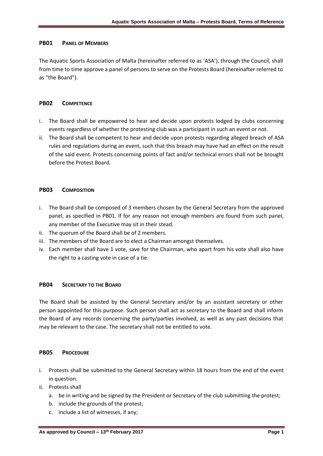### **PB01 PANEL OF MEMBERS**

The Aquatic Sports Association of Malta (hereinafter referred to as 'ASA'), through the Council, shall from time to time approve a panel of persons to serve on the Protests Board (hereinafter referred to as "the Board").

### **PB02 COMPETENCE**

- i. The Board shall be empowered to hear and decide upon protests lodged by clubs concerning events regardless of whether the protesting club was a participant in such an event or not.
- ii. The Board shall be competent to hear and decide upon protests regarding alleged breach of ASA rules and regulations during an event, such that this breach may have had an effect on the result of the said event. Protests concerning points of fact and/or technical errors shall not be brought before the Protest Board.

### **PB03 COMPOSITION**

- i. The Board shall be composed of 3 members chosen by the General Secretary from the approved panel, as specified in PB01. If for any reason not enough members are found from such panel, any member of the Executive may sit in their stead.
- ii. The quorum of the Board shall be of 2 members.
- iii. The members of the Board are to elect a Chairman amongst themselves.
- iv. Each member shall have 1 vote, save for the Chairman, who apart from his vote shall also have the right to a casting vote in case of a tie.

## **PB04 SECRETARY TO THE BOARD**

The Board shall be assisted by the General Secretary and/or by an assistant secretary or other person appointed for this purpose. Such person shall act as secretary to the Board and shall inform the Board of any records concerning the party/parties involved, as well as any past decisions that may be relevant to the case. The secretary shall not be entitled to vote.

### **PB05 PROCEDURE**

- i. Protests shall be submitted to the General Secretary within 18 hours from the end of the event in question.
- ii. Protests shall
	- a. be in writing and be signed by the President or Secretary of the club submitting the protest;
	- b. include the grounds of the protest;
	- c. include a list of witnesses, if any;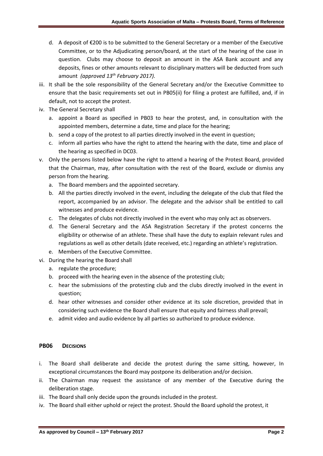- d. A deposit of €200 is to be submitted to the General Secretary or a member of the Executive Committee, or to the Adjudicating person/board, at the start of the hearing of the case in question. Clubs may choose to deposit an amount in the ASA Bank account and any deposits, fines or other amounts relevant to disciplinary matters will be deducted from such amount *(approved 13th February 2017).*
- iii. It shall be the sole responsibility of the General Secretary and/or the Executive Committee to ensure that the basic requirements set out in PB05(ii) for filing a protest are fulfilled, and, if in default, not to accept the protest.
- iv. The General Secretary shall
	- a. appoint a Board as specified in PB03 to hear the protest, and, in consultation with the appointed members, determine a date, time and place for the hearing;
	- b. send a copy of the protest to all parties directly involved in the event in question;
	- c. inform all parties who have the right to attend the hearing with the date, time and place of the hearing as specified in DC03.
- v. Only the persons listed below have the right to attend a hearing of the Protest Board, provided that the Chairman, may, after consultation with the rest of the Board, exclude or dismiss any person from the hearing.
	- a. The Board members and the appointed secretary.
	- b. All the parties directly involved in the event, including the delegate of the club that filed the report, accompanied by an advisor. The delegate and the advisor shall be entitled to call witnesses and produce evidence.
	- c. The delegates of clubs not directly involved in the event who may only act as observers.
	- d. The General Secretary and the ASA Registration Secretary if the protest concerns the eligibility or otherwise of an athlete. These shall have the duty to explain relevant rules and regulations as well as other details (date received, etc.) regarding an athlete's registration.
	- e. Members of the Executive Committee.
- vi. During the hearing the Board shall
	- a. regulate the procedure;
	- b. proceed with the hearing even in the absence of the protesting club;
	- c. hear the submissions of the protesting club and the clubs directly involved in the event in question;
	- d. hear other witnesses and consider other evidence at its sole discretion, provided that in considering such evidence the Board shall ensure that equity and fairness shall prevail;
	- e. admit video and audio evidence by all parties so authorized to produce evidence.

### **PB06 DECISIONS**

- i. The Board shall deliberate and decide the protest during the same sitting, however, In exceptional circumstances the Board may postpone its deliberation and/or decision.
- ii. The Chairman may request the assistance of any member of the Executive during the deliberation stage.
- iii. The Board shall only decide upon the grounds included in the protest.
- iv. The Board shall either uphold or reject the protest. Should the Board uphold the protest, it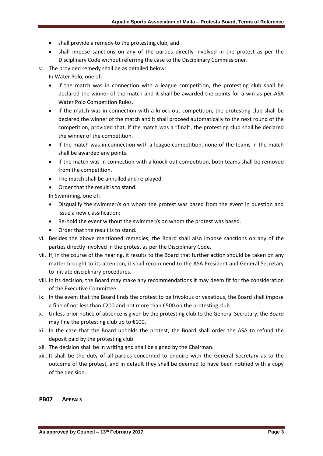- shall provide a remedy to the protesting club, and
- shall impose sanctions on any of the parties directly involved in the protest as per the Disciplinary Code without referring the case to the Disciplinary Commissioner.
- v. The provided remedy shall be as detailed below:
	- In Water Polo, one of:
		- If the match was in connection with a league competition, the protesting club shall be declared the winner of the match and it shall be awarded the points for a win as per ASA Water Polo Competition Rules.
		- If the match was in connection with a knock-out competition, the protesting club shall be declared the winner of the match and it shall proceed automatically to the next round of the competition, provided that, if the match was a "final", the protesting club shall be declared the winner of the competition.
		- If the match was in connection with a league competition, none of the teams in the match shall be awarded any points.
		- If the match was in connection with a knock-out competition, both teams shall be removed from the competition.
		- The match shall be annulled and re-played.
		- Order that the result is to stand.

In Swimming, one of:

- Disqualify the swimmer/s on whom the protest was based from the event in question and issue a new classification;
- Re-hold the event without the swimmer/s on whom the protest was based.
- Order that the result is to stand.
- vi. Besides the above mentioned remedies, the Board shall also impose sanctions on any of the parties directly involved in the protest as per the Disciplinary Code.
- vii. If, in the course of the hearing, it results to the Board that further action should be taken on any matter brought to its attention, it shall recommend to the ASA President and General Secretary to initiate disciplinary procedures.
- viii. In its decision, the Board may make any recommendations it may deem fit for the consideration of the Executive Committee.
- ix. In the event that the Board finds the protest to be frivolous or vexatious, the Board shall impose a fine of not less than €200 and not more than €500 on the protesting club.
- x. Unless prior notice of absence is given by the protesting club to the General Secretary, the Board may fine the protesting club up to €100.
- xi. In the case that the Board upholds the protest, the Board shall order the ASA to refund the deposit paid by the protesting club.
- xii. The decision shall be in writing and shall be signed by the Chairman.
- xiii. It shall be the duty of all parties concerned to enquire with the General Secretary as to the outcome of the protest, and in default they shall be deemed to have been notified with a copy of the decision.

#### **PB07 APPEALS**